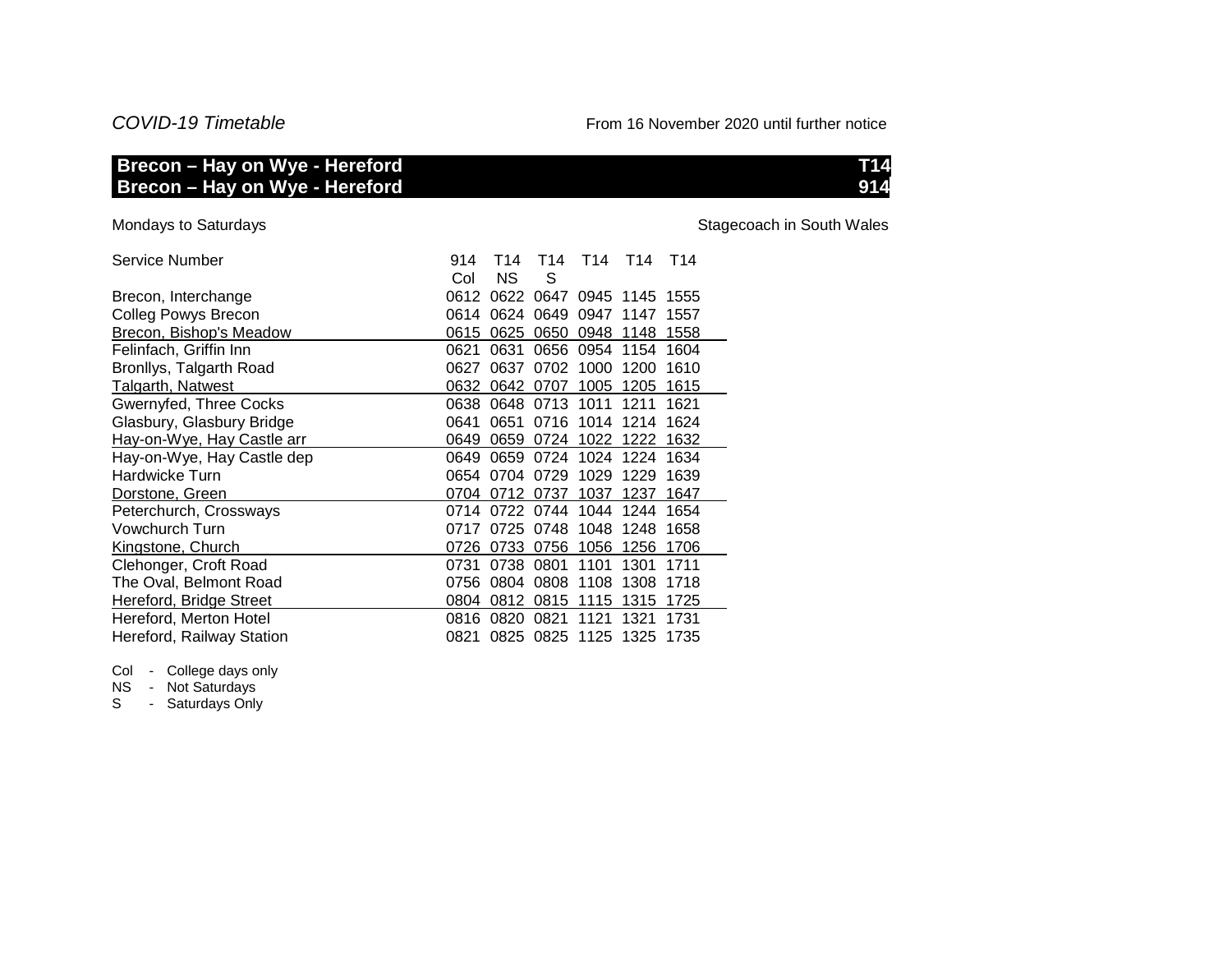## *COVID-19 Timetable* From 16 November 2020 until further notice

## **Brecon – Hay on Wye - Hereford T14 Brecon – Hay on Wye - Hereford 914**

Mondays to Saturdays

Stagecoach in South Wales

| Service Number             | 914  | T14       |                | T14 T14 T14 T14               |      |  |
|----------------------------|------|-----------|----------------|-------------------------------|------|--|
|                            | Col  | <b>NS</b> | S              |                               |      |  |
| Brecon, Interchange        | 0612 |           |                | 0622 0647 0945 1145 1555      |      |  |
| <b>Colleg Powys Brecon</b> |      |           |                | 0614 0624 0649 0947 1147 1557 |      |  |
| Brecon, Bishop's Meadow    | 0615 |           |                | 0625 0650 0948 1148 1558      |      |  |
| Felinfach, Griffin Inn     | 0621 |           |                | 0631 0656 0954 1154 1604      |      |  |
| Bronllys, Talgarth Road    | 0627 |           |                | 0637 0702 1000 1200 1610      |      |  |
| Talgarth, Natwest          | 0632 |           |                | 0642 0707 1005 1205 1615      |      |  |
| Gwernyfed, Three Cocks     |      |           |                | 0638 0648 0713 1011 1211      | 1621 |  |
| Glasbury, Glasbury Bridge  | 0641 |           |                | 0651 0716 1014 1214 1624      |      |  |
| Hay-on-Wye, Hay Castle arr | 0649 |           |                | 0659 0724 1022 1222 1632      |      |  |
| Hay-on-Wye, Hay Castle dep | 0649 |           |                | 0659 0724 1024 1224 1634      |      |  |
| Hardwicke Turn             |      |           | 0654 0704 0729 | 1029 1229 1639                |      |  |
| Dorstone, Green            |      |           |                | 0704 0712 0737 1037 1237 1647 |      |  |
| Peterchurch, Crossways     |      |           |                | 0714 0722 0744 1044 1244 1654 |      |  |
| Vowchurch Turn             | 0717 |           |                | 0725 0748 1048 1248 1658      |      |  |
| Kingstone, Church          |      |           |                | 0726 0733 0756 1056 1256 1706 |      |  |
| Clehonger, Croft Road      |      |           |                | 0731 0738 0801 1101 1301      | 1711 |  |
| The Oval, Belmont Road     |      |           |                | 0756 0804 0808 1108 1308 1718 |      |  |
| Hereford, Bridge Street    |      |           |                | 0804 0812 0815 1115 1315 1725 |      |  |
| Hereford, Merton Hotel     |      |           |                | 0816 0820 0821 1121 1321      | 1731 |  |
| Hereford, Railway Station  |      |           |                | 0821 0825 0825 1125 1325 1735 |      |  |

Col - College days only

NS - Not Saturdays

S - Saturdays Only